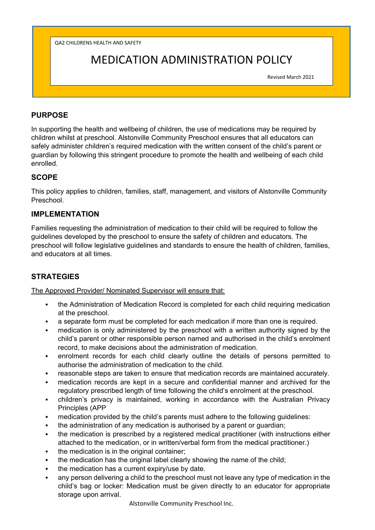QA2 CHILDRENS HEALTH AND SAFETY

# MEDICATION ADMINISTRATION POLICY

Revised March 2021

# **PURPOSE**

In supporting the health and wellbeing of children, the use of medications may be required by children whilst at preschool. Alstonville Community Preschool ensures that all educators can safely administer children's required medication with the written consent of the child's parent or guardian by following this stringent procedure to promote the health and wellbeing of each child enrolled.

# **SCOPE**

This policy applies to children, families, staff, management, and visitors of Alstonville Community Preschool.

### **IMPLEMENTATION**

Families requesting the administration of medication to their child will be required to follow the guidelines developed by the preschool to ensure the safety of children and educators. The preschool will follow legislative guidelines and standards to ensure the health of children, families, and educators at all times.

# **STRATEGIES**

The Approved Provider/ Nominated Supervisor will ensure that:

- the Administration of Medication Record is completed for each child requiring medication at the preschool.
- a separate form must be completed for each medication if more than one is required.
- medication is only administered by the preschool with a written authority signed by the child's parent or other responsible person named and authorised in the child's enrolment record, to make decisions about the administration of medication.
- enrolment records for each child clearly outline the details of persons permitted to authorise the administration of medication to the child.
- reasonable steps are taken to ensure that medication records are maintained accurately.
- medication records are kept in a secure and confidential manner and archived for the regulatory prescribed length of time following the child's enrolment at the preschool.
- children's privacy is maintained, working in accordance with the Australian Privacy Principles (APP
- medication provided by the child's parents must adhere to the following guidelines:
- the administration of any medication is authorised by a parent or guardian;
- the medication is prescribed by a registered medical practitioner (with instructions either attached to the medication, or in written/verbal form from the medical practitioner.)
- the medication is in the original container:
- the medication has the original label clearly showing the name of the child;
- the medication has a current expiry/use by date.
- any person delivering a child to the preschool must not leave any type of medication in the child's bag or locker: Medication must be given directly to an educator for appropriate storage upon arrival.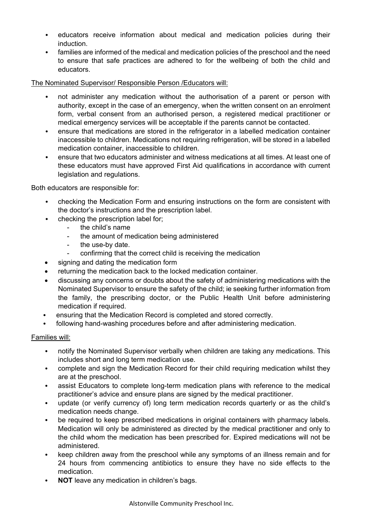- educators receive information about medical and medication policies during their induction.
- families are informed of the medical and medication policies of the preschool and the need to ensure that safe practices are adhered to for the wellbeing of both the child and educators.

#### The Nominated Supervisor/ Responsible Person /Educators will:

- not administer any medication without the authorisation of a parent or person with authority, except in the case of an emergency, when the written consent on an enrolment form, verbal consent from an authorised person, a registered medical practitioner or medical emergency services will be acceptable if the parents cannot be contacted.
- ensure that medications are stored in the refrigerator in a labelled medication container inaccessible to children. Medications not requiring refrigeration, will be stored in a labelled medication container, inaccessible to children.
- ensure that two educators administer and witness medications at all times. At least one of these educators must have approved First Aid qualifications in accordance with current legislation and regulations.

Both educators are responsible for:

- checking the Medication Form and ensuring instructions on the form are consistent with the doctor's instructions and the prescription label.
	- checking the prescription label for;
		- the child's name
		- the amount of medication being administered
		- the use-by date.
		- confirming that the correct child is receiving the medication
- signing and dating the medication form
- returning the medication back to the locked medication container.
- discussing any concerns or doubts about the safety of administering medications with the Nominated Supervisor to ensure the safety of the child; ie seeking further information from the family, the prescribing doctor, or the Public Health Unit before administering medication if required.
- ensuring that the Medication Record is completed and stored correctly.
- following hand-washing procedures before and after administering medication.

#### Families will:

- notify the Nominated Supervisor verbally when children are taking any medications. This includes short and long term medication use.
- complete and sign the Medication Record for their child requiring medication whilst they are at the preschool.
- assist Educators to complete long-term medication plans with reference to the medical practitioner's advice and ensure plans are signed by the medical practitioner.
- update (or verify currency of) long term medication records quarterly or as the child's medication needs change.
- be required to keep prescribed medications in original containers with pharmacy labels. Medication will only be administered as directed by the medical practitioner and only to the child whom the medication has been prescribed for. Expired medications will not be administered.
- keep children away from the preschool while any symptoms of an illness remain and for 24 hours from commencing antibiotics to ensure they have no side effects to the medication.
- **NOT** leave any medication in children's bags.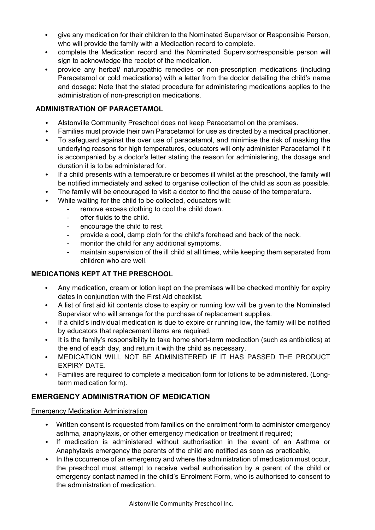- give any medication for their children to the Nominated Supervisor or Responsible Person, who will provide the family with a Medication record to complete.
- complete the Medication record and the Nominated Supervisor/responsible person will sign to acknowledge the receipt of the medication.
- provide any herbal/ naturopathic remedies or non-prescription medications (including Paracetamol or cold medications) with a letter from the doctor detailing the child's name and dosage: Note that the stated procedure for administering medications applies to the administration of non-prescription medications.

### **ADMINISTRATION OF PARACETAMOL**

- Alstonville Community Preschool does not keep Paracetamol on the premises.
- Families must provide their own Paracetamol for use as directed by a medical practitioner.
- To safeguard against the over use of paracetamol, and minimise the risk of masking the underlying reasons for high temperatures, educators will only administer Paracetamol if it is accompanied by a doctor's letter stating the reason for administering, the dosage and duration it is to be administered for.
- If a child presents with a temperature or becomes ill whilst at the preschool, the family will be notified immediately and asked to organise collection of the child as soon as possible.
- The family will be encouraged to visit a doctor to find the cause of the temperature.
- While waiting for the child to be collected, educators will:
	- remove excess clothing to cool the child down.
	- offer fluids to the child.
	- encourage the child to rest.
	- provide a cool, damp cloth for the child's forehead and back of the neck.
	- monitor the child for any additional symptoms.
	- maintain supervision of the ill child at all times, while keeping them separated from children who are well.

### **MEDICATIONS KEPT AT THE PRESCHOOL**

- Any medication, cream or lotion kept on the premises will be checked monthly for expiry dates in conjunction with the First Aid checklist.
- A list of first aid kit contents close to expiry or running low will be given to the Nominated Supervisor who will arrange for the purchase of replacement supplies.
- If a child's individual medication is due to expire or running low, the family will be notified by educators that replacement items are required.
- It is the family's responsibility to take home short-term medication (such as antibiotics) at the end of each day, and return it with the child as necessary.
- MEDICATION WILL NOT BE ADMINISTERED IF IT HAS PASSED THE PRODUCT EXPIRY DATE.
- Families are required to complete a medication form for lotions to be administered. (Longterm medication form).

### **EMERGENCY ADMINISTRATION OF MEDICATION**

Emergency Medication Administration

- Written consent is requested from families on the enrolment form to administer emergency asthma, anaphylaxis, or other emergency medication or treatment if required;
- If medication is administered without authorisation in the event of an Asthma or Anaphylaxis emergency the parents of the child are notified as soon as practicable,
- In the occurrence of an emergency and where the administration of medication must occur, the preschool must attempt to receive verbal authorisation by a parent of the child or emergency contact named in the child's Enrolment Form, who is authorised to consent to the administration of medication.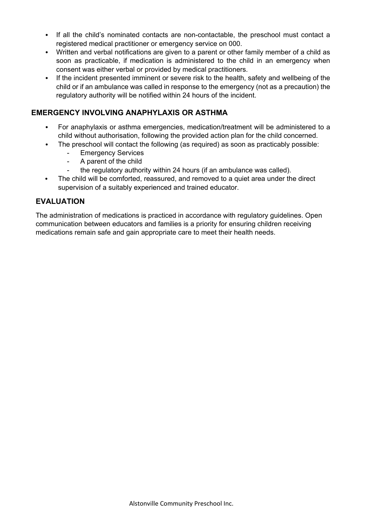- If all the child's nominated contacts are non-contactable, the preschool must contact a registered medical practitioner or emergency service on 000.
- Written and verbal notifications are given to a parent or other family member of a child as soon as practicable, if medication is administered to the child in an emergency when consent was either verbal or provided by medical practitioners.
- If the incident presented imminent or severe risk to the health, safety and wellbeing of the child or if an ambulance was called in response to the emergency (not as a precaution) the regulatory authority will be notified within 24 hours of the incident.

# **EMERGENCY INVOLVING ANAPHYLAXIS OR ASTHMA**

- For anaphylaxis or asthma emergencies, medication/treatment will be administered to a child without authorisation, following the provided action plan for the child concerned.
- The preschool will contact the following (as required) as soon as practicably possible:
	- Emergency Services
		- A parent of the child
	- the regulatory authority within 24 hours (if an ambulance was called).
- The child will be comforted, reassured, and removed to a quiet area under the direct supervision of a suitably experienced and trained educator.

### **EVALUATION**

The administration of medications is practiced in accordance with regulatory guidelines. Open communication between educators and families is a priority for ensuring children receiving medications remain safe and gain appropriate care to meet their health needs.